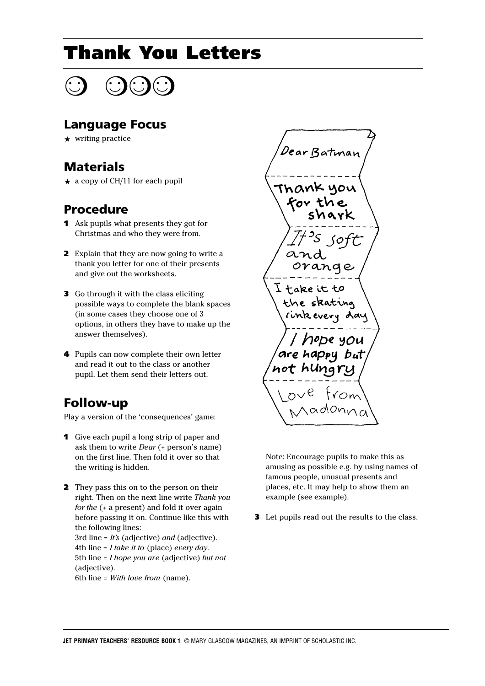# Thank You Letters

#### Language Focus

 $\star$  writing practice

### Materials

 $\star$  a copy of CH/11 for each pupil

### Procedure

- 1 Ask pupils what presents they got for Christmas and who they were from.
- 2 Explain that they are now going to write a thank you letter for one of their presents and give out the worksheets.
- 3 Go through it with the class eliciting possible ways to complete the blank spaces (in some cases they choose one of 3 options, in others they have to make up the answer themselves).
- 4 Pupils can now complete their own letter and read it out to the class or another pupil. Let them send their letters out.

## Follow-up

Play a version of the 'consequences' game:

- 1 Give each pupil a long strip of paper and ask them to write *Dear* (+ person's name) on the first line. Then fold it over so that the writing is hidden.
- **2** They pass this on to the person on their right. Then on the next line write *Thank you for the* (+ a present) and fold it over again before passing it on. Continue like this with the following lines: 3rd line = *It's* (adjective) *and* (adjective). 4th line = *I take it to* (place) *every day.* 5th line = *I hope you are* (adjective) *but not* (adjective). 6th line = *With love from* (name).

Dear Batman  $\alpha$ orange  $\texttt{I}\texttt{take}$  it to the skating rinkevery day ope you appy but not

Note: Encourage pupils to make this as amusing as possible e.g. by using names of famous people, unusual presents and places, etc. It may help to show them an example (see example).

**3** Let pupils read out the results to the class.